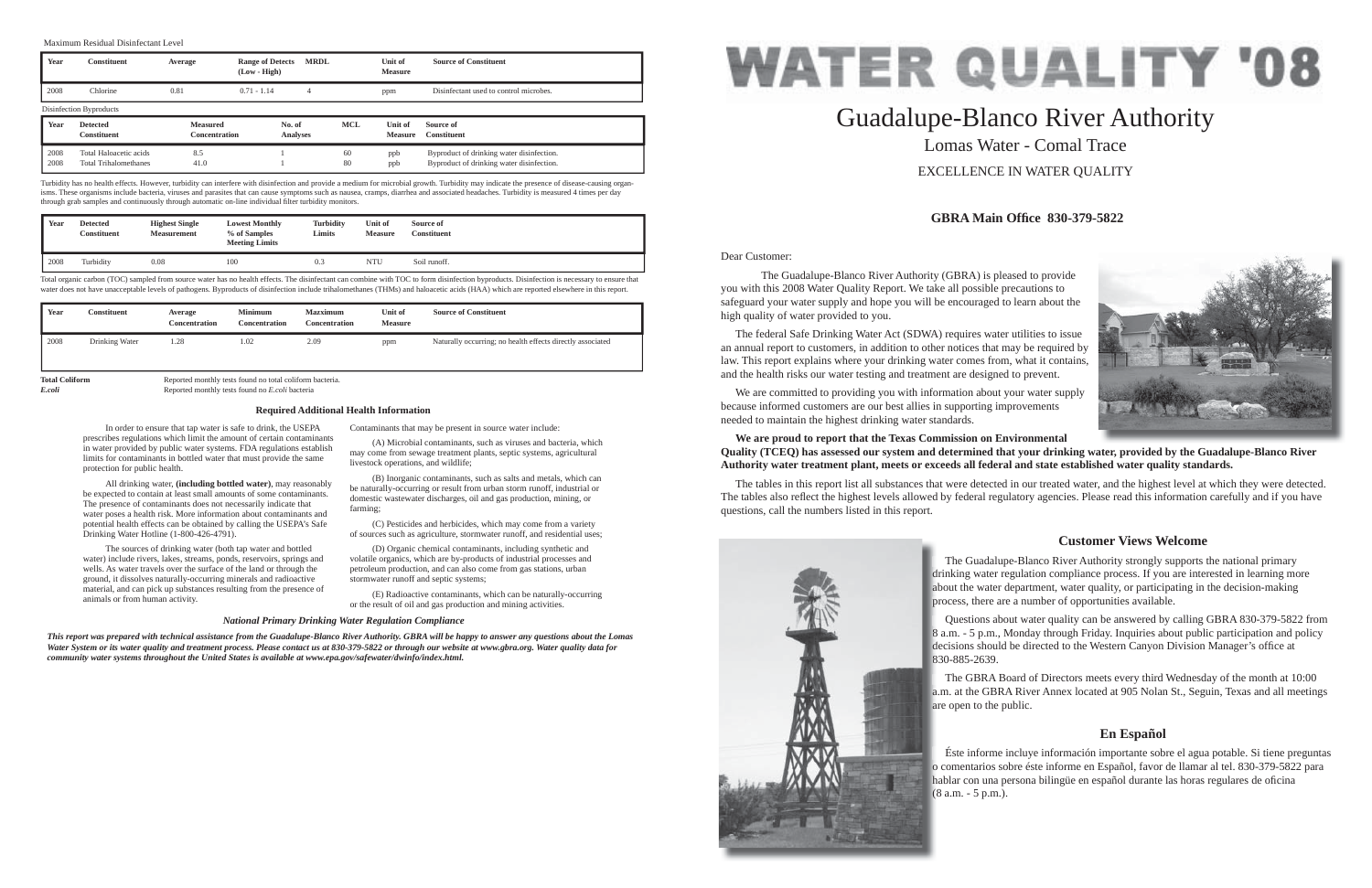Dear Customer:

 The Guadalupe-Blanco River Authority (GBRA) is pleased to provide you with this 2008 Water Quality Report. We take all possible precautions to safeguard your water supply and hope you will be encouraged to learn about the high quality of water provided to you.

 The federal Safe Drinking Water Act (SDWA) requires water utilities to issue an annual report to customers, in addition to other notices that may be required by law. This report explains where your drinking water comes from, what it contains, and the health risks our water testing and treatment are designed to prevent.

 We are committed to providing you with information about your water supply because informed customers are our best allies in supporting improvements needed to maintain the highest drinking water standards.

## **We are proud to report that the Texas Commission on Environmental Quality (TCEQ) has assessed our system and determined that your drinking water, provided by the Guadalupe-Blanco River Authority water treatment plant, meets or exceeds all federal and state established water quality standards.**

The tables in this report list all substances that were detected in our treated water, and the highest level at which they were detected. The tables also reflect the highest levels allowed by federal regulatory agencies. Please read this information carefully and if you have questions, call the numbers listed in this report.



# Guadalupe-Blanco River Authority Lomas Water - Comal TraceEXCELLENCE IN WATER QUALITY

## **GBRA Main Offi ce 830-379-5822**

## **Customer Views Welcome**

## **En Español**

 In order to ensure that tap water is safe to drink, the USEPA prescribes regulations which limit the amount of certain contaminants in water provided by public water systems. FDA regulations establish limits for contaminants in bottled water that must provide the same protection for public health.

 All drinking water, **(including bottled water)**, may reasonably be expected to contain at least small amounts of some contaminants. The presence of contaminants does not necessarily indicate that water poses a health risk. More information about contaminants and potential health effects can be obtained by calling the USEPA's Safe Drinking Water Hotline (1-800-426-4791).

Total organic carbon (TOC) sampled from source water has no health effects. The disinfectant can combine with TOC to form disinfection byproducts. Disinfection is necessary to ensure that water does not have unacceptable levels of pathogens. Byproducts of disinfection include trihalomethanes (THMs) and haloacetic acids (HAA) which are reported elsewhere in this report.

> The Guadalupe-Blanco River Authority strongly supports the national primary drinking water regulation compliance process. If you are interested in learning more d about the water department, water quality, or participating in the decision-making a process, there are a number of opportunities available. p

 The sources of drinking water (both tap water and bottled water) include rivers, lakes, streams, ponds, reservoirs, springs and wells. As water travels over the surface of the land or through the ground, it dissolves naturally-occurring minerals and radioactive material, and can pick up substances resulting from the presence of animals or from human activity.

> Questions about water quality can be answered by calling GBRA 830-379-5822 from 8 a.m. - 5 p.m., Monday through Friday. Inquiries about public participation and policy 8 decisions should be directed to the Western Canyon Division Manager's office at 830-885-2639. 8

> The GBRA Board of Directors meets every third Wednesday of the month at 10:00 a.m. at the GBRA River Annex located at 905 Nolan St., Seguin, Texas and all meetings a are open to the public. a

Contaminants that may be present in source water include:

 Éste informe incluye información importante sobre el agua potable. Si tiene preguntas o comentarios sobre éste informe en Español, favor de llamar al tel. 830-379-5822 para o hablar con una persona bilingüe en español durante las horas regulares de oficina (8 a.m. - 5 p.m.). (





 (A) Microbial contaminants, such as viruses and bacteria, which may come from sewage treatment plants, septic systems, agricultural livestock operations, and wildlife;

 (B) Inorganic contaminants, such as salts and metals, which can be naturally-occurring or result from urban storm runoff, industrial or domestic wastewater discharges, oil and gas production, mining, or farming;

 (C) Pesticides and herbicides, which may come from a variety of sources such as agriculture, stormwater runoff, and residential uses;

 (D) Organic chemical contaminants, including synthetic and volatile organics, which are by-products of industrial processes and petroleum production, and can also come from gas stations, urban stormwater runoff and septic systems;

 (E) Radioactive contaminants, which can be naturally-occurring or the result of oil and gas production and mining activities.

## **Required Additional Health Information**

#### *National Primary Drinking Water Regulation Compliance*

*This report was prepared with technical assistance from the Guadalupe-Blanco River Authority. GBRA will be happy to answer any questions about the Lomas Water System or its water quality and treatment process. Please contact us at 830-379-5822 or through our website at www.gbra.org. Water quality data for community water systems throughout the United States is available at www.epa.gov/safewater/dwinfo/index.html.*

#### Maximum Residual Disinfectant Level

| Year | <b>Constituent</b>                    | Average                          | <b>Range of Detects</b><br>$(Low - High)$ | <b>MRDL</b>               |            | Unit of<br><b>Measure</b> | <b>Source of Constituent</b>           |
|------|---------------------------------------|----------------------------------|-------------------------------------------|---------------------------|------------|---------------------------|----------------------------------------|
| 2008 | Chlorine                              | 0.81                             | $0.71 - 1.14$                             | 4                         |            | ppm                       | Disinfectant used to control microbes. |
|      | Disinfection Byproducts               |                                  |                                           |                           |            |                           |                                        |
|      |                                       |                                  |                                           |                           |            |                           |                                        |
| Year | <b>Detected</b><br><b>Constituent</b> | <b>Measured</b><br>Concentration |                                           | No. of<br><b>Analyses</b> | <b>MCL</b> | Unit of<br><b>Measure</b> | Source of<br><b>Constituent</b>        |

Turbidity has no health effects. However, turbidity can interfere with disinfection and provide a medium for microbial growth. Turbidity may indicate the presence of disease-causing organisms. These organisms include bacteria, viruses and parasites that can cause symptoms such as nausea, cramps, diarrhea and associated headaches. Turbidity is measured 4 times per day through grab samples and continuously through automatic on-line individual filter turbidity monitors.

| Year | <b>Detected</b><br><b>Constituent</b> | <b>Highest Single</b><br><b>Measurement</b> | <b>Lowest Monthly</b><br>% of Samples<br><b>Meeting Limits</b> | <b>Turbidity</b><br>Limits | Unit of<br><b>Measure</b> | Source of<br>Constituent |
|------|---------------------------------------|---------------------------------------------|----------------------------------------------------------------|----------------------------|---------------------------|--------------------------|
| 2008 | Turbidity                             | 0.08                                        | 100                                                            | 0.3                        | NTU                       | Soil runoff.             |

| Year                  | Constituent    | Average<br><b>Concentration</b>                          | <b>Minimum</b><br><b>Concentration</b> | <b>Mazximum</b><br>Concentration | Unit of<br><b>Measure</b> | <b>Source of Constituent</b>                               |
|-----------------------|----------------|----------------------------------------------------------|----------------------------------------|----------------------------------|---------------------------|------------------------------------------------------------|
| 2008                  | Drinking Water | 1.28                                                     | 1.02                                   | 2.09                             | ppm                       | Naturally occurring; no health effects directly associated |
| <b>Total Coliform</b> |                | Reported monthly tests found no total coliform bacteria. |                                        |                                  |                           |                                                            |

*E.coli* Reported monthly tests found no *E.coli* bacteria